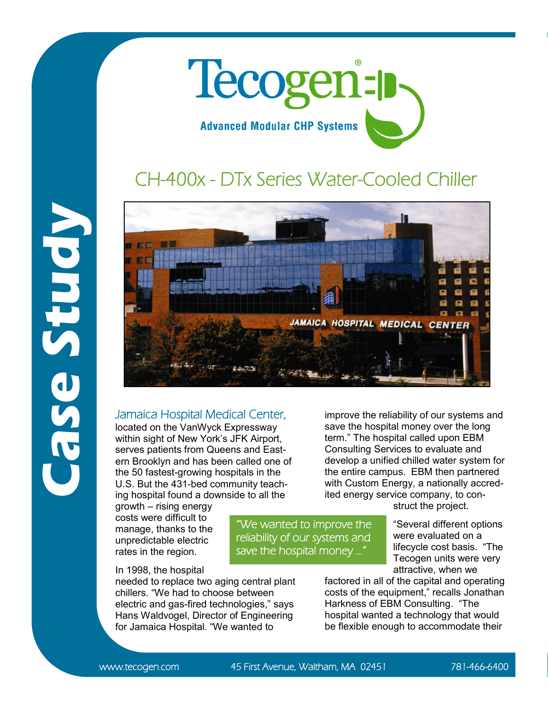

## CH-400x - DTx Series Water-Cooled Chiller



## Jamaica Hospital Medical Center,

located on the VanWyck Expressway within sight of New York's JFK Airport, serves patients from Queens and Eastern Brooklyn and has been called one of the 50 fastest-growing hospitals in the U.S. But the 431-bed community teaching hospital found a downside to all the

growth – rising energy costs were difficult to manage, thanks to the unpredictable electric rates in the region.

## In 1998, the hospital

needed to replace two aging central plant chillers. "We had to choose between electric and gas-fired technologies," says Hans Waldvogel, Director of Engineering for Jamaica Hospital. "We wanted to

improve the reliability of our systems and save the hospital money over the long term." The hospital called upon EBM Consulting Services to evaluate and develop a unified chilled water system for the entire campus. EBM then partnered with Custom Energy, a nationally accredited energy service company, to con-

struct the project.

"Several different options were evaluated on a lifecycle cost basis. "The Tecogen units were very attractive, when we

factored in all of the capital and operating costs of the equipment," recalls Jonathan Harkness of EBM Consulting. "The hospital wanted a technology that would be flexible enough to accommodate their

www.tecogen.com 45 First Avenue, Waltham, MA 02451 781-466-6400

"We wanted to improve the reliability of our systems and save the hospital money ..."